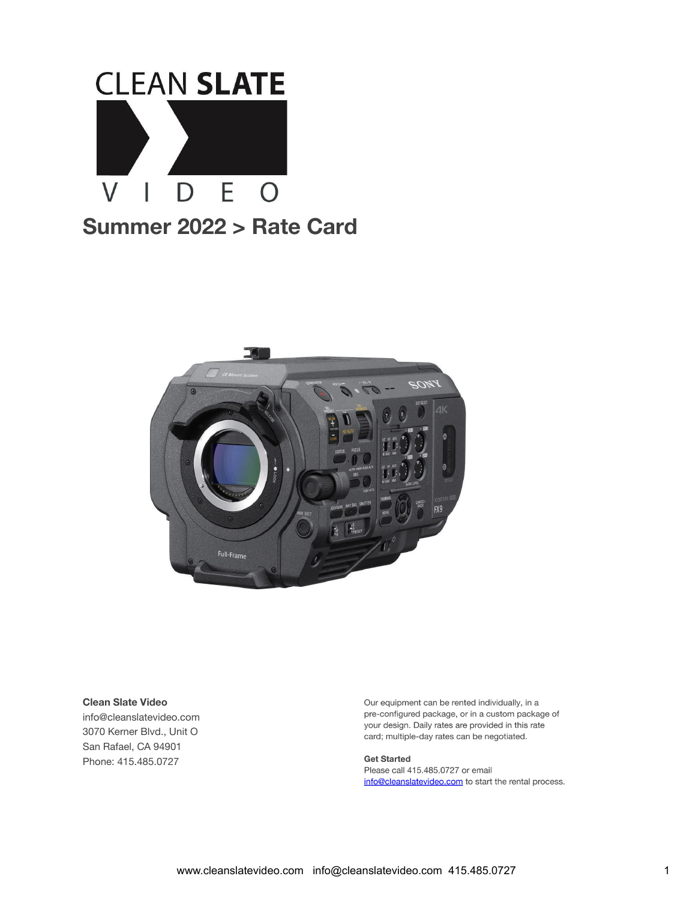



#### **Clean Slate Video**

info@cleanslatevideo.com 3070 Kerner Blvd., Unit O San Rafael, CA 94901 Phone: 415.485.0727

Our equipment can be rented individually, in a pre-configured package, or in a custom package of your design. Daily rates are provided in this rate card; multiple-day rates can be negotiated.

**Get Started** Please call 415.485.0727 or email info@cleanslatevideo.com to start the rental process.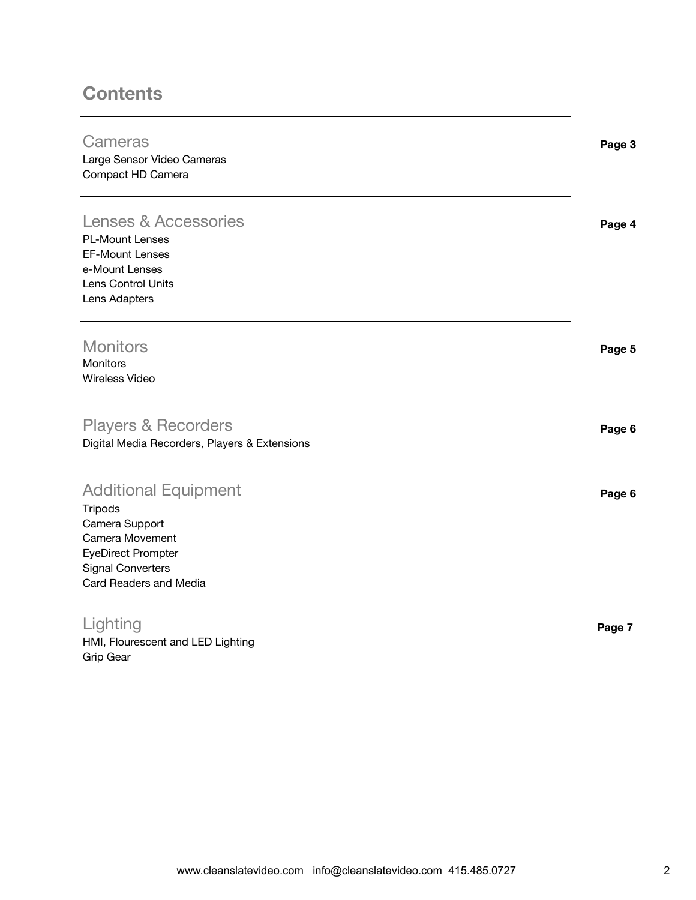#### **Contents**

| Cameras<br>Large Sensor Video Cameras<br>Compact HD Camera                                                                                                            | Page 3 |
|-----------------------------------------------------------------------------------------------------------------------------------------------------------------------|--------|
| <b>Lenses &amp; Accessories</b><br><b>PL-Mount Lenses</b><br><b>EF-Mount Lenses</b><br>e-Mount Lenses<br>Lens Control Units<br>Lens Adapters                          | Page 4 |
| <b>Monitors</b><br>Monitors<br><b>Wireless Video</b>                                                                                                                  | Page 5 |
| <b>Players &amp; Recorders</b><br>Digital Media Recorders, Players & Extensions                                                                                       | Page 6 |
| <b>Additional Equipment</b><br><b>Tripods</b><br>Camera Support<br>Camera Movement<br><b>EyeDirect Prompter</b><br><b>Signal Converters</b><br>Card Readers and Media | Page 6 |
| Lighting<br>HMI, Flourescent and LED Lighting                                                                                                                         | Page 7 |

Grip Gear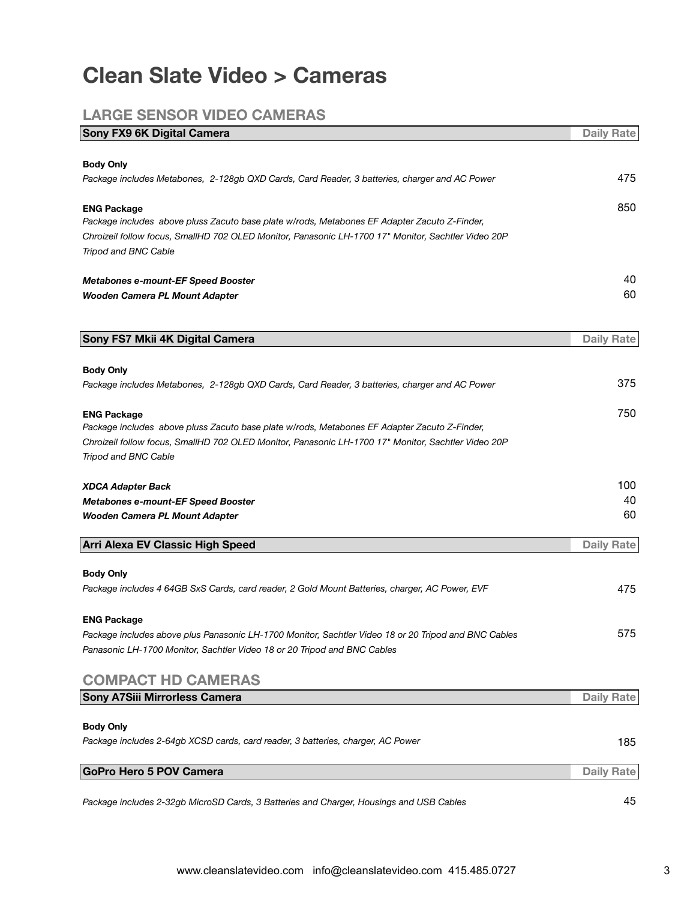### **Clean Slate Video > Cameras**

#### **LARGE SENSOR VIDEO CAMERAS**

| Sony FX9 6K Digital Camera                                                                                         | <b>Daily Rate</b> |
|--------------------------------------------------------------------------------------------------------------------|-------------------|
|                                                                                                                    |                   |
| <b>Body Only</b>                                                                                                   | 475               |
| Package includes Metabones, 2-128gb QXD Cards, Card Reader, 3 batteries, charger and AC Power                      |                   |
| <b>ENG Package</b>                                                                                                 | 850               |
| Package includes above pluss Zacuto base plate w/rods, Metabones EF Adapter Zacuto Z-Finder,                       |                   |
| Chroizeil follow focus, SmallHD 702 OLED Monitor, Panasonic LH-1700 17" Monitor, Sachtler Video 20P                |                   |
| Tripod and BNC Cable                                                                                               |                   |
| <b>Metabones e-mount-EF Speed Booster</b>                                                                          | 40                |
| Wooden Camera PL Mount Adapter                                                                                     | 60                |
|                                                                                                                    |                   |
| Sony FS7 Mkii 4K Digital Camera                                                                                    | <b>Daily Rate</b> |
|                                                                                                                    |                   |
| <b>Body Only</b>                                                                                                   |                   |
| Package includes Metabones, 2-128gb QXD Cards, Card Reader, 3 batteries, charger and AC Power                      | 375               |
| <b>ENG Package</b>                                                                                                 | 750               |
| Package includes above pluss Zacuto base plate w/rods, Metabones EF Adapter Zacuto Z-Finder,                       |                   |
| Chroizeil follow focus, SmallHD 702 OLED Monitor, Panasonic LH-1700 17" Monitor, Sachtler Video 20P                |                   |
| Tripod and BNC Cable                                                                                               |                   |
| <b>XDCA Adapter Back</b>                                                                                           | 100               |
| <b>Metabones e-mount-EF Speed Booster</b>                                                                          | 40                |
| Wooden Camera PL Mount Adapter                                                                                     | 60                |
| <b>Arri Alexa EV Classic High Speed</b>                                                                            | <b>Daily Rate</b> |
|                                                                                                                    |                   |
| <b>Body Only</b><br>Package includes 4 64GB SxS Cards, card reader, 2 Gold Mount Batteries, charger, AC Power, EVF | 475               |
|                                                                                                                    |                   |
| <b>ENG Package</b>                                                                                                 |                   |
| Package includes above plus Panasonic LH-1700 Monitor, Sachtler Video 18 or 20 Tripod and BNC Cables               | 575               |
| Panasonic LH-1700 Monitor, Sachtler Video 18 or 20 Tripod and BNC Cables                                           |                   |
| <b>COMPACT HD CAMERAS</b>                                                                                          |                   |
| Sony A7Siii Mirrorless Camera                                                                                      | <b>Daily Rate</b> |
|                                                                                                                    |                   |
| <b>Body Only</b>                                                                                                   |                   |
| Package includes 2-64gb XCSD cards, card reader, 3 batteries, charger, AC Power                                    | 185               |
| <b>GoPro Hero 5 POV Camera</b>                                                                                     | <b>Daily Rate</b> |
|                                                                                                                    |                   |
| Package includes 2-32gb MicroSD Cards, 3 Batteries and Charger, Housings and USB Cables                            | 45                |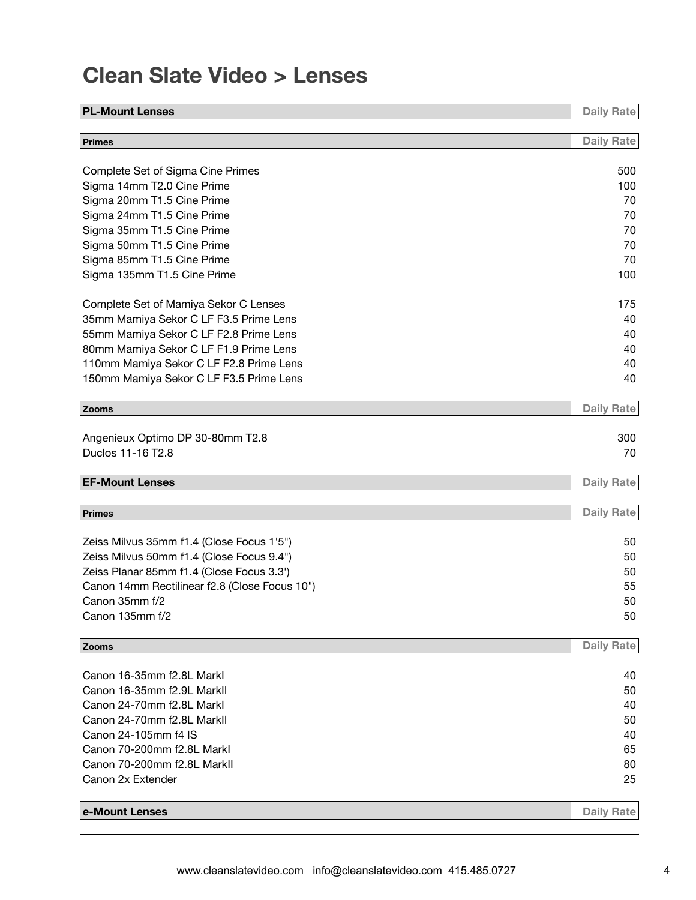## **Clean Slate Video > Lenses**

| <b>PL-Mount Lenses</b>                        | <b>Daily Rate</b> |
|-----------------------------------------------|-------------------|
| <b>Primes</b>                                 | <b>Daily Rate</b> |
| Complete Set of Sigma Cine Primes             | 500               |
| Sigma 14mm T2.0 Cine Prime                    | 100               |
| Sigma 20mm T1.5 Cine Prime                    | 70                |
| Sigma 24mm T1.5 Cine Prime                    | 70                |
| Sigma 35mm T1.5 Cine Prime                    | 70                |
| Sigma 50mm T1.5 Cine Prime                    | 70                |
| Sigma 85mm T1.5 Cine Prime                    | 70                |
| Sigma 135mm T1.5 Cine Prime                   | 100               |
| Complete Set of Mamiya Sekor C Lenses         | 175               |
| 35mm Mamiya Sekor C LF F3.5 Prime Lens        | 40                |
| 55mm Mamiya Sekor C LF F2.8 Prime Lens        | 40                |
| 80mm Mamiya Sekor C LF F1.9 Prime Lens        | 40                |
| 110mm Mamiya Sekor C LF F2.8 Prime Lens       | 40                |
| 150mm Mamiya Sekor C LF F3.5 Prime Lens       | 40                |
| Zooms                                         | <b>Daily Rate</b> |
|                                               |                   |
| Angenieux Optimo DP 30-80mm T2.8              | 300               |
| Duclos 11-16 T2.8                             | 70                |
| <b>EF-Mount Lenses</b>                        | <b>Daily Rate</b> |
| Primes                                        | <b>Daily Rate</b> |
|                                               |                   |
| Zeiss Milvus 35mm f1.4 (Close Focus 1'5")     | 50                |
| Zeiss Milvus 50mm f1.4 (Close Focus 9.4")     | 50                |
| Zeiss Planar 85mm f1.4 (Close Focus 3.3')     | 50                |
| Canon 14mm Rectilinear f2.8 (Close Focus 10") | 55                |
| Canon 35mm f/2                                | 50                |
| Canon 135mm f/2                               | 50                |
| Zooms                                         | <b>Daily Rate</b> |
| Canon 16-35mm f2.8L Markl                     | 40                |
| Canon 16-35mm f2.9L Markll                    | 50                |
| Canon 24-70mm f2.8L Markl                     | 40                |
| Canon 24-70mm f2.8L Markll                    | 50                |
| Canon 24-105mm f4 IS                          | 40                |
| Canon 70-200mm f2.8L Markl                    | 65                |
| Canon 70-200mm f2.8L MarkII                   | 80                |
| Canon 2x Extender                             | 25                |
|                                               |                   |
| e-Mount Lenses                                | <b>Daily Rate</b> |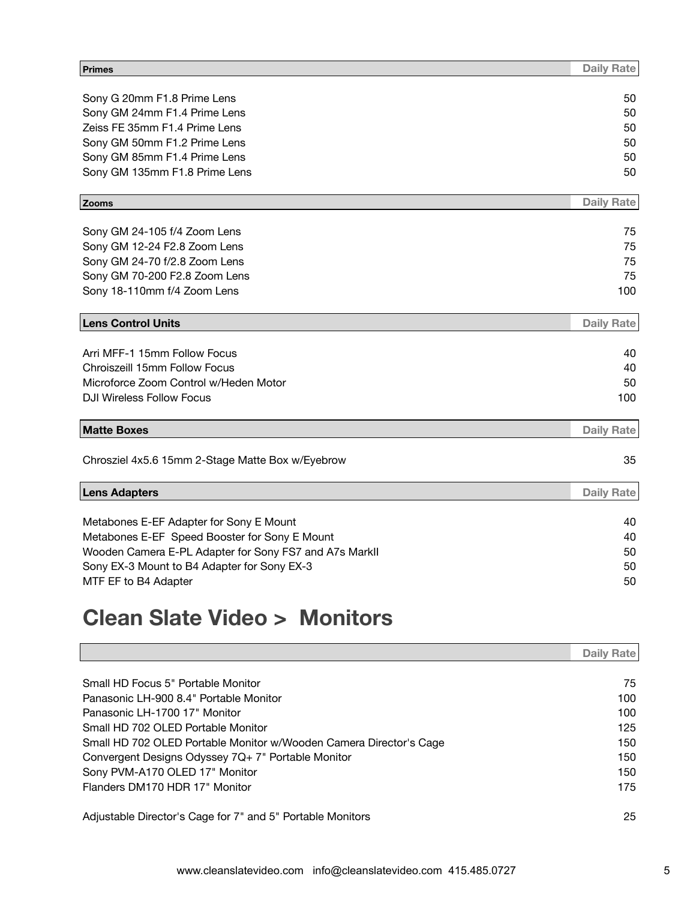| Primes                                                 | <b>Daily Rate</b> |
|--------------------------------------------------------|-------------------|
|                                                        |                   |
| Sony G 20mm F1.8 Prime Lens                            | 50                |
| Sony GM 24mm F1.4 Prime Lens                           | 50                |
| Zeiss FE 35mm F1.4 Prime Lens                          | 50                |
| Sony GM 50mm F1.2 Prime Lens                           | 50                |
| Sony GM 85mm F1.4 Prime Lens                           | 50                |
| Sony GM 135mm F1.8 Prime Lens                          | 50                |
| Zooms                                                  | <b>Daily Rate</b> |
| Sony GM 24-105 f/4 Zoom Lens                           | 75                |
| Sony GM 12-24 F2.8 Zoom Lens                           | 75                |
| Sony GM 24-70 f/2.8 Zoom Lens                          | 75                |
| Sony GM 70-200 F2.8 Zoom Lens                          | 75                |
| Sony 18-110mm f/4 Zoom Lens                            | 100               |
|                                                        |                   |
| <b>Lens Control Units</b>                              | <b>Daily Rate</b> |
| Arri MFF-1 15mm Follow Focus                           | 40                |
| Chroiszeill 15mm Follow Focus                          | 40                |
| Microforce Zoom Control w/Heden Motor                  | 50                |
| <b>DJI Wireless Follow Focus</b>                       | 100               |
|                                                        |                   |
| <b>Matte Boxes</b>                                     | <b>Daily Rate</b> |
| Chrosziel 4x5.6 15mm 2-Stage Matte Box w/Eyebrow       | 35                |
|                                                        |                   |
| <b>Lens Adapters</b>                                   | <b>Daily Rate</b> |
| Metabones E-EF Adapter for Sony E Mount                | 40                |
| Metabones E-EF Speed Booster for Sony E Mount          | 40                |
| Wooden Camera E-PL Adapter for Sony FS7 and A7s MarkII | 50                |
| Sony EX-3 Mount to B4 Adapter for Sony EX-3            | 50                |
| MTF EF to B4 Adapter                                   | 50                |
|                                                        |                   |
|                                                        |                   |

# **Clean Slate Video > Monitors**

|                                                                    | Daily Rate |
|--------------------------------------------------------------------|------------|
|                                                                    |            |
| Small HD Focus 5" Portable Monitor                                 | 75         |
| Panasonic LH-900 8.4" Portable Monitor                             | 100        |
| Panasonic LH-1700 17" Monitor                                      | 100        |
| Small HD 702 OLED Portable Monitor                                 | 125        |
| Small HD 702 OLED Portable Monitor w/Wooden Camera Director's Cage | 150        |
| Convergent Designs Odyssey 7Q+7" Portable Monitor                  | 150        |
| Sony PVM-A170 OLED 17" Monitor                                     | 150        |
| Flanders DM170 HDR 17" Monitor                                     | 175        |
| Adjustable Director's Cage for 7" and 5" Portable Monitors         | 25         |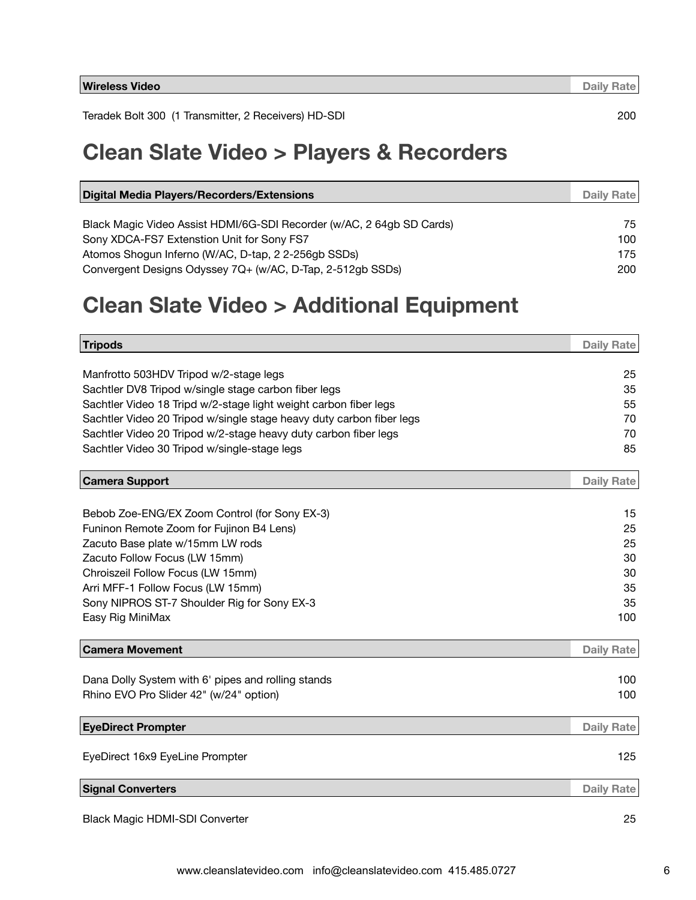Teradek Bolt 300 (1 Transmitter, 2 Receivers) HD-SDI 200

#### **Clean Slate Video > Players & Recorders**

| Digital Media Players/Recorders/Extensions                            | Daily Rate |
|-----------------------------------------------------------------------|------------|
|                                                                       |            |
| Black Magic Video Assist HDMI/6G-SDI Recorder (w/AC, 2 64gb SD Cards) | 75         |
| Sony XDCA-FS7 Extenstion Unit for Sony FS7                            | 100        |
| Atomos Shogun Inferno (W/AC, D-tap, 2 2-256gb SSDs)                   | 175        |
| Convergent Designs Odyssey 7Q+ (w/AC, D-Tap, 2-512gb SSDs)            | 200        |

#### **Clean Slate Video > Additional Equipment**

| Tripods                                                              | <b>Daily Rate</b> |
|----------------------------------------------------------------------|-------------------|
|                                                                      |                   |
| Manfrotto 503HDV Tripod w/2-stage legs                               | 25                |
| Sachtler DV8 Tripod w/single stage carbon fiber legs                 | 35                |
| Sachtler Video 18 Tripd w/2-stage light weight carbon fiber legs     | 55                |
| Sachtler Video 20 Tripod w/single stage heavy duty carbon fiber legs | 70                |
| Sachtler Video 20 Tripod w/2-stage heavy duty carbon fiber legs      | 70                |
| Sachtler Video 30 Tripod w/single-stage legs                         | 85                |
| Camera Support                                                       | <b>Daily Rate</b> |
|                                                                      |                   |
| Bebob Zoe-ENG/EX Zoom Control (for Sony EX-3)                        | 15                |
| Funinon Remote Zoom for Fujinon B4 Lens)                             | 25                |
| Zacuto Base plate w/15mm LW rods                                     | 25                |
| Zacuto Follow Focus (LW 15mm)                                        | 30                |
| Chroiszeil Follow Focus (LW 15mm)                                    | 30                |
| Arri MFF-1 Follow Focus (LW 15mm)                                    | 35                |
| Sony NIPROS ST-7 Shoulder Rig for Sony EX-3                          | 35                |
| Easy Rig MiniMax                                                     | 100               |
| <b>Camera Movement</b>                                               | <b>Daily Rate</b> |
|                                                                      |                   |
| Dana Dolly System with 6' pipes and rolling stands                   | 100               |
| Rhino EVO Pro Slider 42" (w/24" option)                              | 100               |
| <b>EyeDirect Prompter</b>                                            | <b>Daily Rate</b> |
|                                                                      |                   |
| EyeDirect 16x9 EyeLine Prompter                                      | 125               |
| <b>Signal Converters</b>                                             | <b>Daily Rate</b> |
| <b>Black Magic HDMI-SDI Converter</b>                                | 25                |
|                                                                      |                   |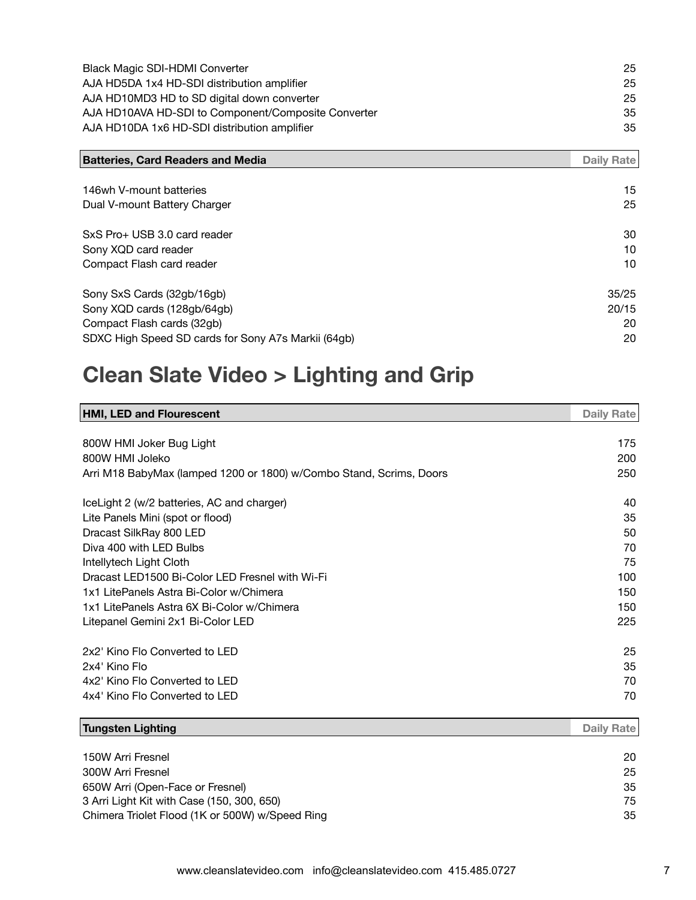| <b>Black Magic SDI-HDMI Converter</b>               | 25  |
|-----------------------------------------------------|-----|
| AJA HD5DA 1x4 HD-SDI distribution amplifier         | 25. |
| AJA HD10MD3 HD to SD digital down converter         | 25  |
| AJA HD10AVA HD-SDI to Component/Composite Converter | 35  |
| AJA HD10DA 1x6 HD-SDI distribution amplifier        | 35  |

| <b>Batteries, Card Readers and Media</b>            | Daily Rate |
|-----------------------------------------------------|------------|
|                                                     |            |
| 146wh V-mount batteries                             | 15         |
| Dual V-mount Battery Charger                        | 25         |
| SxS Pro+ USB 3.0 card reader                        | 30         |
| Sony XQD card reader                                | 10         |
| Compact Flash card reader                           | 10         |
| Sony SxS Cards (32gb/16gb)                          | 35/25      |
| Sony XQD cards (128gb/64gb)                         | 20/15      |
| Compact Flash cards (32gb)                          | 20         |
| SDXC High Speed SD cards for Sony A7s Markii (64gb) | 20         |

# **Clean Slate Video > Lighting and Grip**

| <b>HMI, LED and Flourescent</b>                                     | <b>Daily Rate</b> |
|---------------------------------------------------------------------|-------------------|
|                                                                     |                   |
| 800W HMI Joker Bug Light                                            | 175               |
| 800W HMI Joleko                                                     | 200               |
| Arri M18 BabyMax (lamped 1200 or 1800) w/Combo Stand, Scrims, Doors | 250               |
| IceLight 2 (w/2 batteries, AC and charger)                          | 40                |
| Lite Panels Mini (spot or flood)                                    | 35                |
| Dracast SilkRay 800 LED                                             | 50                |
| Diva 400 with LED Bulbs                                             | 70                |
| Intellytech Light Cloth                                             | 75                |
| Dracast LED1500 Bi-Color LED Fresnel with Wi-Fi                     | 100               |
| 1x1 LitePanels Astra Bi-Color w/Chimera                             | 150               |
| 1x1 LitePanels Astra 6X Bi-Color w/Chimera                          | 150               |
| Litepanel Gemini 2x1 Bi-Color LED                                   | 225               |
| 2x2' Kino Flo Converted to LED                                      | 25                |
| 2x4' Kino Flo                                                       | 35                |
| 4x2' Kino Flo Converted to LED                                      | 70                |
| 4x4' Kino Flo Converted to LED                                      | 70                |
| <b>Tungsten Lighting</b>                                            | Daily Rate        |

| 150W Arri Fresnel                               | 20 |
|-------------------------------------------------|----|
| 300W Arri Fresnel                               | 25 |
| 650W Arri (Open-Face or Fresnel)                | 35 |
| 3 Arri Light Kit with Case (150, 300, 650)      | 75 |
| Chimera Triolet Flood (1K or 500W) w/Speed Ring | 35 |